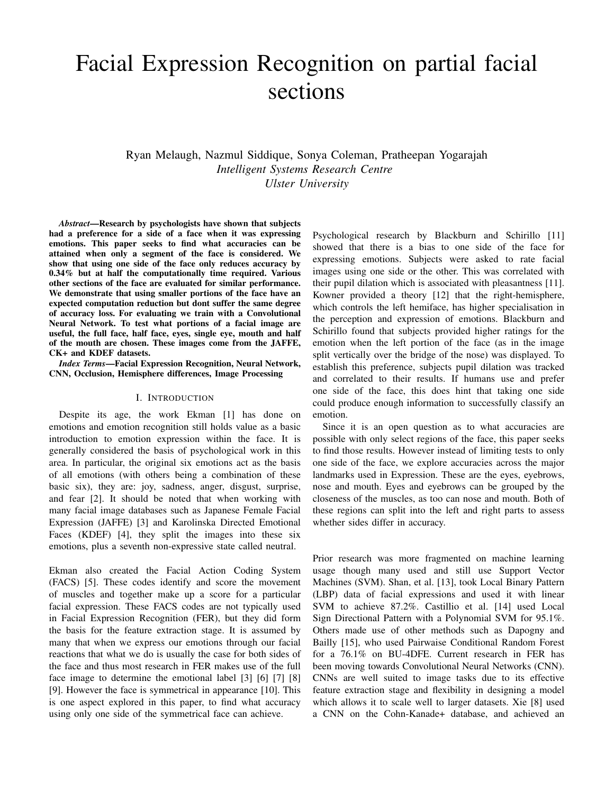# Facial Expression Recognition on partial facial sections

Ryan Melaugh, Nazmul Siddique, Sonya Coleman, Pratheepan Yogarajah *Intelligent Systems Research Centre Ulster University*

*Abstract*—Research by psychologists have shown that subjects had a preference for a side of a face when it was expressing emotions. This paper seeks to find what accuracies can be attained when only a segment of the face is considered. We show that using one side of the face only reduces accuracy by 0.34% but at half the computationally time required. Various other sections of the face are evaluated for similar performance. We demonstrate that using smaller portions of the face have an expected computation reduction but dont suffer the same degree of accuracy loss. For evaluating we train with a Convolutional Neural Network. To test what portions of a facial image are useful, the full face, half face, eyes, single eye, mouth and half of the mouth are chosen. These images come from the JAFFE, CK+ and KDEF datasets.

*Index Terms*—Facial Expression Recognition, Neural Network, CNN, Occlusion, Hemisphere differences, Image Processing

## I. INTRODUCTION

Despite its age, the work Ekman [1] has done on emotions and emotion recognition still holds value as a basic introduction to emotion expression within the face. It is generally considered the basis of psychological work in this area. In particular, the original six emotions act as the basis of all emotions (with others being a combination of these basic six), they are: joy, sadness, anger, disgust, surprise, and fear [2]. It should be noted that when working with many facial image databases such as Japanese Female Facial Expression (JAFFE) [3] and Karolinska Directed Emotional Faces (KDEF) [4], they split the images into these six emotions, plus a seventh non-expressive state called neutral.

Ekman also created the Facial Action Coding System (FACS) [5]. These codes identify and score the movement of muscles and together make up a score for a particular facial expression. These FACS codes are not typically used in Facial Expression Recognition (FER), but they did form the basis for the feature extraction stage. It is assumed by many that when we express our emotions through our facial reactions that what we do is usually the case for both sides of the face and thus most research in FER makes use of the full face image to determine the emotional label [3] [6] [7] [8] [9]. However the face is symmetrical in appearance [10]. This is one aspect explored in this paper, to find what accuracy using only one side of the symmetrical face can achieve.

Psychological research by Blackburn and Schirillo [11] showed that there is a bias to one side of the face for expressing emotions. Subjects were asked to rate facial images using one side or the other. This was correlated with their pupil dilation which is associated with pleasantness [11]. Kowner provided a theory [12] that the right-hemisphere, which controls the left hemiface, has higher specialisation in the perception and expression of emotions. Blackburn and Schirillo found that subjects provided higher ratings for the emotion when the left portion of the face (as in the image split vertically over the bridge of the nose) was displayed. To establish this preference, subjects pupil dilation was tracked and correlated to their results. If humans use and prefer one side of the face, this does hint that taking one side could produce enough information to successfully classify an emotion.

Since it is an open question as to what accuracies are possible with only select regions of the face, this paper seeks to find those results. However instead of limiting tests to only one side of the face, we explore accuracies across the major landmarks used in Expression. These are the eyes, eyebrows, nose and mouth. Eyes and eyebrows can be grouped by the closeness of the muscles, as too can nose and mouth. Both of these regions can split into the left and right parts to assess whether sides differ in accuracy.

Prior research was more fragmented on machine learning usage though many used and still use Support Vector Machines (SVM). Shan, et al. [13], took Local Binary Pattern (LBP) data of facial expressions and used it with linear SVM to achieve 87.2%. Castillio et al. [14] used Local Sign Directional Pattern with a Polynomial SVM for 95.1%. Others made use of other methods such as Dapogny and Bailly [15], who used Pairwaise Conditional Random Forest for a 76.1% on BU-4DFE. Current research in FER has been moving towards Convolutional Neural Networks (CNN). CNNs are well suited to image tasks due to its effective feature extraction stage and flexibility in designing a model which allows it to scale well to larger datasets. Xie [8] used a CNN on the Cohn-Kanade+ database, and achieved an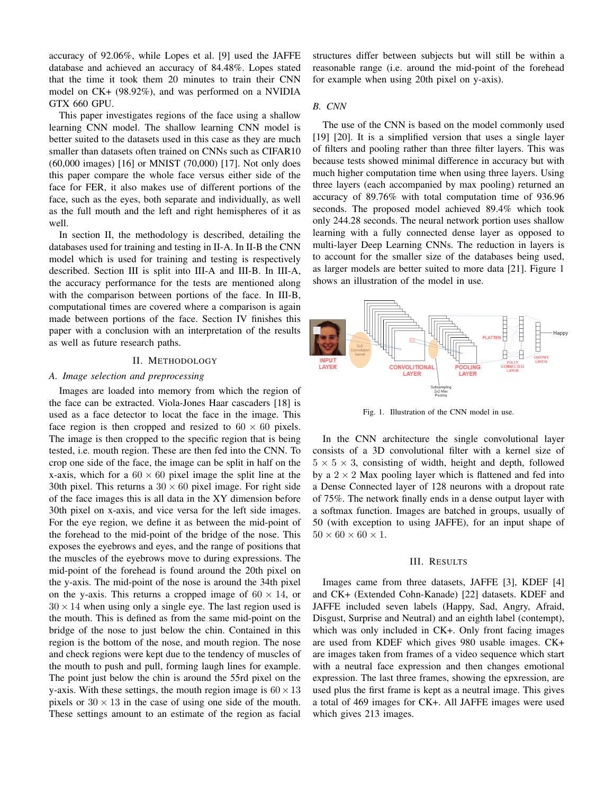accuracy of 92.06%, while Lopes et al. [9] used the JAFFE database and achieved an accuracy of 84.48%. Lopes stated that the time it took them 20 minutes to train their CNN model on CK+ (98.92%), and was performed on a NVIDIA GTX 660 GPU.

This paper investigates regions of the face using a shallow learning CNN model. The shallow learning CNN model is better suited to the datasets used in this case as they are much smaller than datasets often trained on CNNs such as CIFAR10 (60,000 images) [16] or MNIST (70,000) [17]. Not only does this paper compare the whole face versus either side of the face for FER, it also makes use of different portions of the face, such as the eyes, both separate and individually, as well as the full mouth and the left and right hemispheres of it as well.

In section II, the methodology is described, detailing the databases used for training and testing in II-A. In II-B the CNN model which is used for training and testing is respectively described. Section III is split into III-A and III-B. In III-A, the accuracy performance for the tests are mentioned along with the comparison between portions of the face. In III-B, computational times are covered where a comparison is again made between portions of the face. Section IV finishes this paper with a conclusion with an interpretation of the results as well as future research paths.

## II. METHODOLOGY

## *A. Image selection and preprocessing*

Images are loaded into memory from which the region of the face can be extracted. Viola-Jones Haar cascaders [18] is used as a face detector to locat the face in the image. This face region is then cropped and resized to  $60 \times 60$  pixels. The image is then cropped to the specific region that is being tested, i.e. mouth region. These are then fed into the CNN. To crop one side of the face, the image can be split in half on the x-axis, which for a  $60 \times 60$  pixel image the split line at the 30th pixel. This returns a  $30 \times 60$  pixel image. For right side of the face images this is all data in the XY dimension before 30th pixel on x-axis, and vice versa for the left side images. For the eye region, we define it as between the mid-point of the forehead to the mid-point of the bridge of the nose. This exposes the eyebrows and eyes, and the range of positions that the muscles of the eyebrows move to during expressions. The mid-point of the forehead is found around the 20th pixel on the y-axis. The mid-point of the nose is around the 34th pixel on the y-axis. This returns a cropped image of  $60 \times 14$ , or  $30 \times 14$  when using only a single eye. The last region used is the mouth. This is defined as from the same mid-point on the bridge of the nose to just below the chin. Contained in this region is the bottom of the nose, and mouth region. The nose and check regions were kept due to the tendency of muscles of the mouth to push and pull, forming laugh lines for example. The point just below the chin is around the 55rd pixel on the y-axis. With these settings, the mouth region image is  $60 \times 13$ pixels or  $30 \times 13$  in the case of using one side of the mouth. These settings amount to an estimate of the region as facial

structures differ between subjects but will still be within a reasonable range (i.e. around the mid-point of the forehead for example when using 20th pixel on y-axis).

## *B. CNN*

The use of the CNN is based on the model commonly used [19] [20]. It is a simplified version that uses a single layer of filters and pooling rather than three filter layers. This was because tests showed minimal difference in accuracy but with much higher computation time when using three layers. Using three layers (each accompanied by max pooling) returned an accuracy of 89.76% with total computation time of 936.96 seconds. The proposed model achieved 89.4% which took only 244.28 seconds. The neural network portion uses shallow learning with a fully connected dense layer as opposed to multi-layer Deep Learning CNNs. The reduction in layers is to account for the smaller size of the databases being used, as larger models are better suited to more data [21]. Figure 1 shows an illustration of the model in use.



Fig. 1. Illustration of the CNN model in use.

In the CNN architecture the single convolutional layer consists of a 3D convolutional filter with a kernel size of  $5 \times 5 \times 3$ , consisting of width, height and depth, followed by a  $2 \times 2$  Max pooling layer which is flattened and fed into a Dense Connected layer of 128 neurons with a dropout rate of 75%. The network finally ends in a dense output layer with a softmax function. Images are batched in groups, usually of 50 (with exception to using JAFFE), for an input shape of  $50 \times 60 \times 60 \times 1$ .

## III. RESULTS

Images came from three datasets, JAFFE [3], KDEF [4] and CK+ (Extended Cohn-Kanade) [22] datasets. KDEF and JAFFE included seven labels (Happy, Sad, Angry, Afraid, Disgust, Surprise and Neutral) and an eighth label (contempt), which was only included in CK+. Only front facing images are used from KDEF which gives 980 usable images. CK+ are images taken from frames of a video sequence which start with a neutral face expression and then changes emotional expression. The last three frames, showing the epxression, are used plus the first frame is kept as a neutral image. This gives a total of 469 images for CK+. All JAFFE images were used which gives 213 images.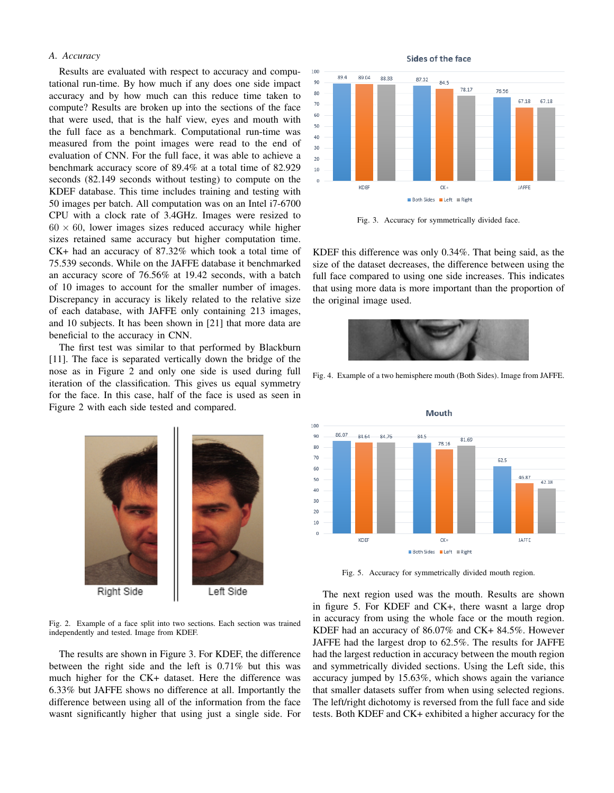# *A. Accuracy*

Results are evaluated with respect to accuracy and computational run-time. By how much if any does one side impact accuracy and by how much can this reduce time taken to compute? Results are broken up into the sections of the face that were used, that is the half view, eyes and mouth with the full face as a benchmark. Computational run-time was measured from the point images were read to the end of evaluation of CNN. For the full face, it was able to achieve a benchmark accuracy score of 89.4% at a total time of 82.929 seconds (82.149 seconds without testing) to compute on the KDEF database. This time includes training and testing with 50 images per batch. All computation was on an Intel i7-6700 CPU with a clock rate of 3.4GHz. Images were resized to  $60 \times 60$ , lower images sizes reduced accuracy while higher sizes retained same accuracy but higher computation time. CK+ had an accuracy of 87.32% which took a total time of 75.539 seconds. While on the JAFFE database it benchmarked an accuracy score of 76.56% at 19.42 seconds, with a batch of 10 images to account for the smaller number of images. Discrepancy in accuracy is likely related to the relative size of each database, with JAFFE only containing 213 images, and 10 subjects. It has been shown in [21] that more data are beneficial to the accuracy in CNN.

The first test was similar to that performed by Blackburn [11]. The face is separated vertically down the bridge of the nose as in Figure 2 and only one side is used during full iteration of the classification. This gives us equal symmetry for the face. In this case, half of the face is used as seen in Figure 2 with each side tested and compared.



Fig. 2. Example of a face split into two sections. Each section was trained independently and tested. Image from KDEF.

The results are shown in Figure 3. For KDEF, the difference between the right side and the left is 0.71% but this was much higher for the CK+ dataset. Here the difference was 6.33% but JAFFE shows no difference at all. Importantly the difference between using all of the information from the face wasnt significantly higher that using just a single side. For

#### Sides of the face



Fig. 3. Accuracy for symmetrically divided face.

KDEF this difference was only 0.34%. That being said, as the size of the dataset decreases, the difference between using the full face compared to using one side increases. This indicates that using more data is more important than the proportion of the original image used.



Fig. 4. Example of a two hemisphere mouth (Both Sides). Image from JAFFE.



Fig. 5. Accuracy for symmetrically divided mouth region.

The next region used was the mouth. Results are shown in figure 5. For KDEF and CK+, there wasnt a large drop in accuracy from using the whole face or the mouth region. KDEF had an accuracy of 86.07% and CK+ 84.5%. However JAFFE had the largest drop to 62.5%. The results for JAFFE had the largest reduction in accuracy between the mouth region and symmetrically divided sections. Using the Left side, this accuracy jumped by 15.63%, which shows again the variance that smaller datasets suffer from when using selected regions. The left/right dichotomy is reversed from the full face and side tests. Both KDEF and CK+ exhibited a higher accuracy for the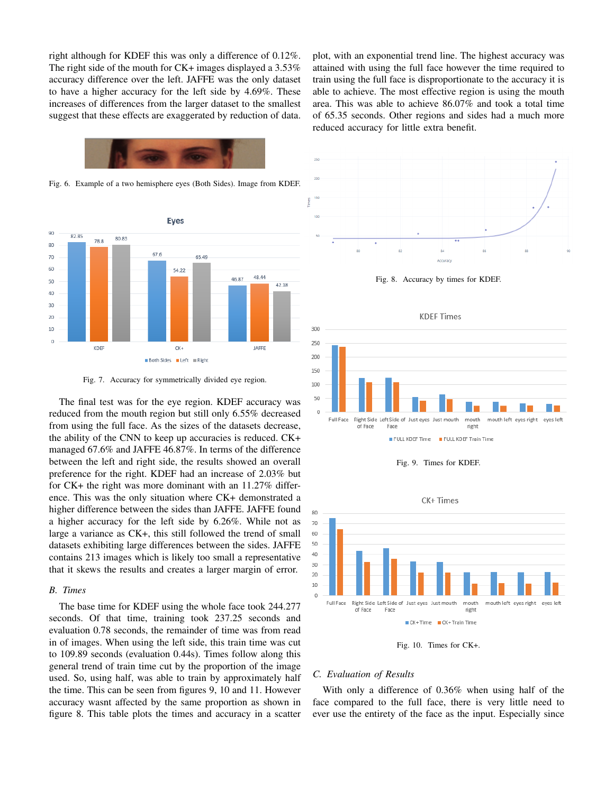right although for KDEF this was only a difference of 0.12%. The right side of the mouth for CK+ images displayed a 3.53% accuracy difference over the left. JAFFE was the only dataset to have a higher accuracy for the left side by 4.69%. These increases of differences from the larger dataset to the smallest suggest that these effects are exaggerated by reduction of data. plot, with an exponential trend line. The highest accuracy was attained with using the full face however the time required to train using the full face is disproportionate to the accuracy it is able to achieve. The most effective region is using the mouth area. This was able to achieve 86.07% and took a total time of 65.35 seconds. Other regions and sides had a much more reduced accuracy for little extra benefit.



Fig. 6. Example of a two hemisphere eyes (Both Sides). Image from KDEF.



Fig. 7. Accuracy for symmetrically divided eye region.

The final test was for the eye region. KDEF accuracy was reduced from the mouth region but still only 6.55% decreased from using the full face. As the sizes of the datasets decrease, the ability of the CNN to keep up accuracies is reduced. CK+ managed 67.6% and JAFFE 46.87%. In terms of the difference between the left and right side, the results showed an overall preference for the right. KDEF had an increase of 2.03% but for CK+ the right was more dominant with an 11.27% difference. This was the only situation where CK+ demonstrated a higher difference between the sides than JAFFE. JAFFE found a higher accuracy for the left side by 6.26%. While not as large a variance as CK+, this still followed the trend of small datasets exhibiting large differences between the sides. JAFFE contains 213 images which is likely too small a representative that it skews the results and creates a larger margin of error.

## *B. Times*

The base time for KDEF using the whole face took 244.277 seconds. Of that time, training took 237.25 seconds and evaluation 0.78 seconds, the remainder of time was from read in of images. When using the left side, this train time was cut to 109.89 seconds (evaluation 0.44s). Times follow along this general trend of train time cut by the proportion of the image used. So, using half, was able to train by approximately half the time. This can be seen from figures 9, 10 and 11. However accuracy wasnt affected by the same proportion as shown in figure 8. This table plots the times and accuracy in a scatter



Fig. 8. Accuracy by times for KDEF.







Fig. 10. Times for CK+.

## *C. Evaluation of Results*

With only a difference of 0.36% when using half of the face compared to the full face, there is very little need to ever use the entirety of the face as the input. Especially since